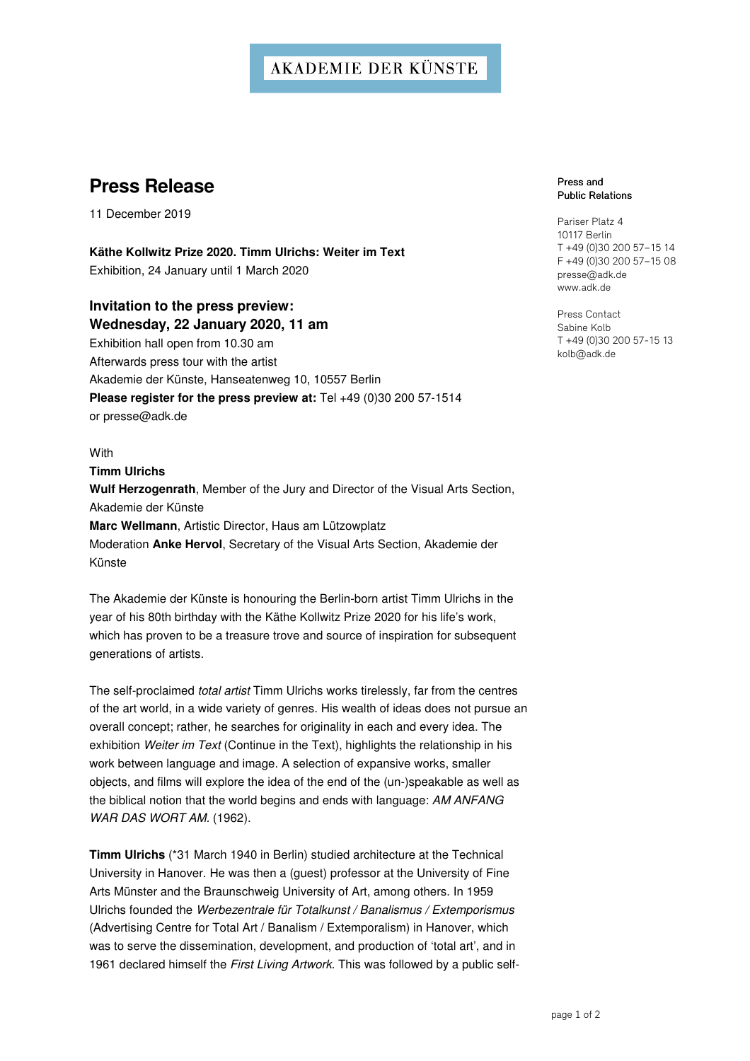## **AKADEMIE DER KÜNSTE**

# **Press Release**

11 December 2019

**Käthe Kollwitz Prize 2020. Timm Ulrichs: Weiter im Text**  Exhibition, 24 January until 1 March 2020

### **Invitation to the press preview: Wednesday, 22 January 2020, 11 am**

Exhibition hall open from 10.30 am Afterwards press tour with the artist Akademie der Künste, Hanseatenweg 10, 10557 Berlin **Please register for the press preview at:** Tel +49 (0)30 200 57-1514 or presse@adk.de

**With** 

**Timm Ulrichs** 

**Wulf Herzogenrath**, Member of the Jury and Director of the Visual Arts Section, Akademie der Künste **Marc Wellmann**, Artistic Director, Haus am Lützowplatz Moderation **Anke Hervol**, Secretary of the Visual Arts Section, Akademie der Künste

The Akademie der Künste is honouring the Berlin-born artist Timm Ulrichs in the year of his 80th birthday with the Käthe Kollwitz Prize 2020 for his life's work, which has proven to be a treasure trove and source of inspiration for subsequent generations of artists.

The self-proclaimed total artist Timm Ulrichs works tirelessly, far from the centres of the art world, in a wide variety of genres. His wealth of ideas does not pursue an overall concept; rather, he searches for originality in each and every idea. The exhibition Weiter im Text (Continue in the Text), highlights the relationship in his work between language and image. A selection of expansive works, smaller objects, and films will explore the idea of the end of the (un-)speakable as well as the biblical notion that the world begins and ends with language: AM ANFANG WAR DAS WORT AM. (1962).

**Timm Ulrichs** (\*31 March 1940 in Berlin) studied architecture at the Technical University in Hanover. He was then a (guest) professor at the University of Fine Arts Münster and the Braunschweig University of Art, among others. In 1959 Ulrichs founded the Werbezentrale für Totalkunst / Banalismus / Extemporismus (Advertising Centre for Total Art / Banalism / Extemporalism) in Hanover, which was to serve the dissemination, development, and production of 'total art', and in 1961 declared himself the First Living Artwork. This was followed by a public self-

#### Press and **Public Relations**

Pariser Platz 4 10117 Berlin T +49 (0)30 200 57–15 14 F +49 (0)30 200 57–15 08 presse@adk.de www.adk.de

Press Contact Sabine Kolb T +49 (0)30 200 57-15 13 kolb@adk.de